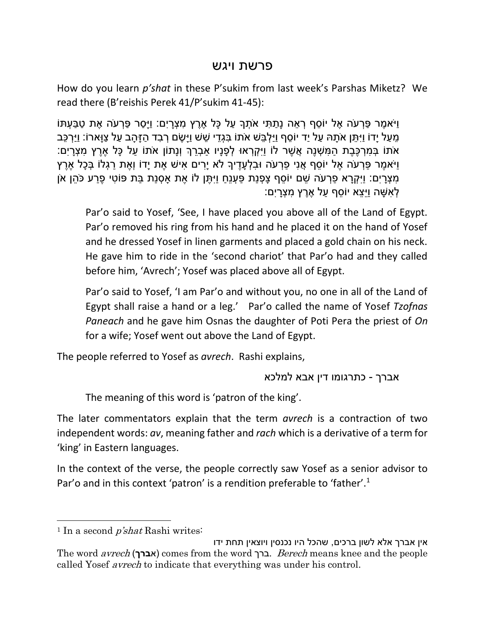## פרשת ויגש

How do you learn *p'shat* in these P'sukim from last week's Parshas Miketz? We read there (B'reishis Perek 41/P'sukim 41-45):

וַיֹּאמֶר פּרְעֹה אֶל יוֹסף רָאה נַתִּתִּי אֹתָךָ על כָּל אֶרֵץ מַצָרים: וַיַּסר פּרְעֹה אֶת טַבּעָתּוֹ ְמֵעַל יָדוֹ וַיִּתֵּן אֹתָהּ עַל יַד יוֹסֵף וַיַּלְבֵּשׁ אֹתוֹ בִּגְדֵי שֵׁשׁ וַיַּשֵׂם רְבִד הַזַּהַב עַל צַוַּארוֹ: וַיַּרְכֵּב ֿאֹתוֹ בְּמְרְכֶּבֶת הַמְּשִׁנֵה אֲשֶׁר לוֹ וַיִּקְרָאוּ לְפָנַיו אַבְרֵךְ וְנַתוֹן אֹתוֹ עַל כַּל אֶרֵץ מְצָרַיִם: ֿוַיֹּאמֶר פַּרְעֹה אֶל יוֹסֵף אֲנִי פַרְעֹה וּבִלְעָדֶיךָ לֹא יָרִים אִישׁ אֶת יָדוֹ וְאֶת רַגְלוֹ בְּכָל אֶרֶץ ְמִצְרַיִּם: וַיִּקְרַא פַרְעֹה שֶׁם יוֹסֵף צַפְנַת פַּעָנֵח וַיִּתֵּן לוֹ אֶת אסְנַת בַּת פּוֹטִי פֶרַע כֹּהֵן אֹן ָלְא<sup>ָ</sup>שָׁה וַיִּצַא יוֹסף על אֶרֵץ מַצָרִים:

Par'o said to Yosef, 'See, I have placed you above all of the Land of Egypt. Par'o removed his ring from his hand and he placed it on the hand of Yosef and he dressed Yosef in linen garments and placed a gold chain on his neck. He gave him to ride in the 'second chariot' that Par'o had and they called before him, 'Avrech'; Yosef was placed above all of Egypt.

Par'o said to Yosef, 'I am Par'o and without you, no one in all of the Land of Egypt shall raise a hand or a leg.' Par'o called the name of Yosef *Tzofnas Paneach* and he gave him Osnas the daughter of Poti Pera the priest of *On* for a wife; Yosef went out above the Land of Egypt.

The people referred to Yosef as *avrech*. Rashi explains,

אברך - כתרגומו דין אבא למלכא

The meaning of this word is 'patron of the king'.

The later commentators explain that the term *avrech* is a contraction of two independent words: *av*, meaning father and *rach* which is a derivative of a term for 'king' in Eastern languages.

In the context of the verse, the people correctly saw Yosef as a senior advisor to Par'o and in this context 'patron' is a rendition preferable to 'father'.<sup>1</sup>

<sup>1</sup> In a second  $p'shat$  Rashi writes:

 $\overline{\phantom{a}}$ 

אין אברך אלא לשון ברכים, שהכל היו נכנסין ויוצאין תחת ידו The word avrech )א**ברך** )comes from the word ברך. Berech means knee and the people called Yosef avrech to indicate that everything was under his control.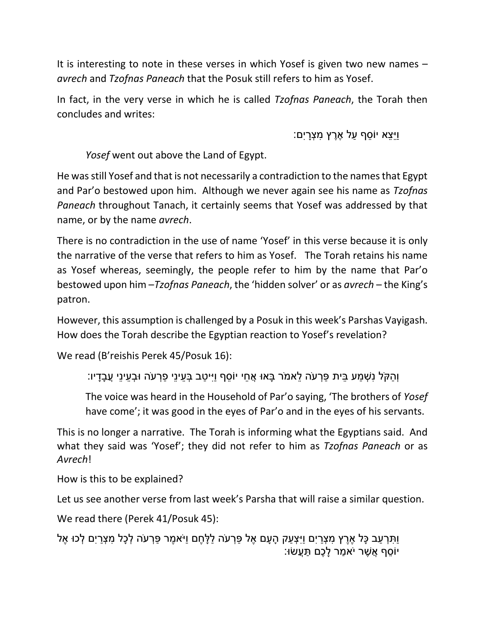It is interesting to note in these verses in which Yosef is given two new names – *avrech* and *Tzofnas Paneach* that the Posuk still refers to him as Yosef.

In fact, in the very verse in which he is called *Tzofnas Paneach*, the Torah then concludes and writes:

וַיֵ ֵצא יֹו ֵסף ַעל ֶאֶרץ ִּמ ְצָריִּם:

*Yosef* went out above the Land of Egypt.

He was still Yosef and that is not necessarily a contradiction to the names that Egypt and Par'o bestowed upon him. Although we never again see his name as *Tzofnas Paneach* throughout Tanach, it certainly seems that Yosef was addressed by that name, or by the name *avrech*.

There is no contradiction in the use of name 'Yosef' in this verse because it is only the narrative of the verse that refers to him as Yosef. The Torah retains his name as Yosef whereas, seemingly, the people refer to him by the name that Par'o bestowed upon him –*Tzofnas Paneach*, the 'hidden solver' or as *avrech* – the King's patron.

However, this assumption is challenged by a Posuk in this week's Parshas Vayigash. How does the Torah describe the Egyptian reaction to Yosef's revelation?

We read (B'reishis Perek 45/Posuk 16):

וְ ַהקֹּל נִּ ְׁש ַמע ֵבית ַפ ְרעֹּה ֵלאמֹּר ָבאו ֲא ֵחי יֹו ֵסף וַיִּי ַטב ְב ֵעינֵי ַפ ְרעֹּה ו ְב ֵעינֵי ֲע ָבָדיו:

The voice was heard in the Household of Par'o saying, 'The brothers of *Yosef* have come'; it was good in the eyes of Par'o and in the eyes of his servants.

This is no longer a narrative. The Torah is informing what the Egyptians said. And what they said was 'Yosef'; they did not refer to him as *Tzofnas Paneach* or as *Avrech*!

How is this to be explained?

Let us see another verse from last week's Parsha that will raise a similar question.

We read there (Perek 41/Posuk 45):

וַתְּרְעַב כָּל אֶרֶץ מִצְרַיִם וַיִּצְעַק הָעָם אֶל פַּרְעֹה לַלָּחֶם וַיֹּאמֶר פַּרְעֹה לְכָל מִצְרַיִם לְכוּ אֶל ֿיוֹסֵף אֲשֶׁר יֹאמַר לַכֶם תַּעֲשׂוּ: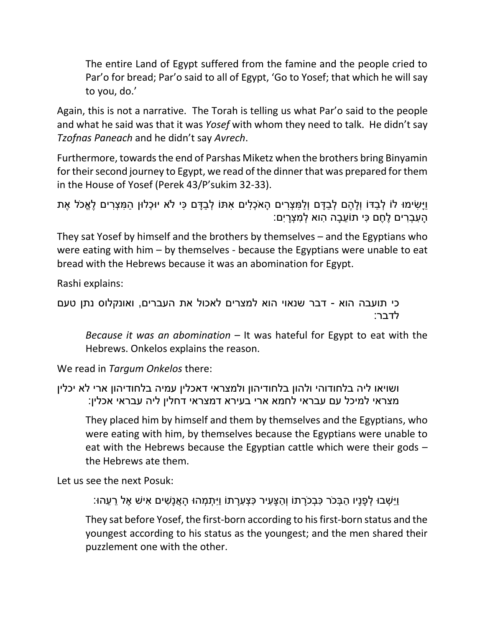The entire Land of Egypt suffered from the famine and the people cried to Par'o for bread; Par'o said to all of Egypt, 'Go to Yosef; that which he will say to you, do.'

Again, this is not a narrative. The Torah is telling us what Par'o said to the people and what he said was that it was *Yosef* with whom they need to talk. He didn't say *Tzofnas Paneach* and he didn't say *Avrech*.

Furthermore, towards the end of Parshas Miketz when the brothers bring Binyamin for their second journey to Egypt, we read of the dinner that was prepared for them in the House of Yosef (Perek 43/P'sukim 32-33).

```
וַיִּשׂימוּ לֹוֹ לְבִדּוֹ וְלַהֶם לְבִדּם וְלֹמַצְרים האֹכָלים אתּוֹ לְבִדֵּם כִּי לֹא יוּכְלוּן המַצְרים לֵאֱכֹל אֶת
                                                              ָהַעֲבָרִים לֶחֶם כִּי תוֹעֱבָה הוא לְמִצְרַיִּם:
```
They sat Yosef by himself and the brothers by themselves – and the Egyptians who were eating with him – by themselves - because the Egyptians were unable to eat bread with the Hebrews because it was an abomination for Egypt.

Rashi explains:

```
כי תועבה הוא - דבר שנאוי הוא למצרים לאכול את העברים, ואונקלוס נתן טעם 
                                                           לדבר:
```
*Because it was an abomination* – It was hateful for Egypt to eat with the Hebrews. Onkelos explains the reason.

We read in *Targum Onkelos* there:

```
ושויאו ליה בלחודוהי ולהון בלחודיהון ולמצראי דאכלין עמיה בלחודיהון ארי לא יכלין 
מצראי למיכל עם עבראי לחמא ארי בעירא דמצראי דחלין ליה עבראי אכלין:
```
They placed him by himself and them by themselves and the Egyptians, who were eating with him, by themselves because the Egyptians were unable to eat with the Hebrews because the Egyptian cattle which were their gods – the Hebrews ate them.

Let us see the next Posuk:

וַיֵ ְׁשבו ְל ָפנָיו ַה ְבכֹּר ִּכ ְבכָֹּרתֹו וְ ַה ָצ ִּעיר ִּכ ְצ ִּעָרתֹו וַיִּ ְת ְמהו ָה ֲאנָ ִּׁשים ִּאיׁש ֶאל ֵר ֵעהו:

They sat before Yosef, the first-born according to his first-born status and the youngest according to his status as the youngest; and the men shared their puzzlement one with the other.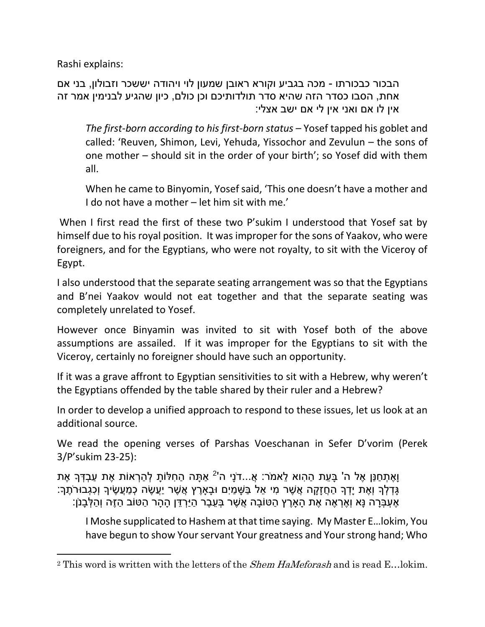Rashi explains:

 $\overline{\phantom{a}}$ 

הבכור כבכורתו - מכה בגביע וקורא ראובן שמעון לוי ויהודה יששכר וזבולון, בני אם אחת, הסבו כסדר הזה שהיא סדר תולדותיכם וכן כולם, כיון שהגיע לבנימין אמר זה אין לו אם ואני אין לי אם ישב אצלי:

*The first-born according to his first-born status* – Yosef tapped his goblet and called: 'Reuven, Shimon, Levi, Yehuda, Yissochor and Zevulun – the sons of one mother – should sit in the order of your birth'; so Yosef did with them all.

When he came to Binyomin, Yosef said, 'This one doesn't have a mother and I do not have a mother – let him sit with me.'

When I first read the first of these two P'sukim I understood that Yosef sat by himself due to his royal position. It was improper for the sons of Yaakov, who were foreigners, and for the Egyptians, who were not royalty, to sit with the Viceroy of Egypt.

I also understood that the separate seating arrangement was so that the Egyptians and B'nei Yaakov would not eat together and that the separate seating was completely unrelated to Yosef.

However once Binyamin was invited to sit with Yosef both of the above assumptions are assailed. If it was improper for the Egyptians to sit with the Viceroy, certainly no foreigner should have such an opportunity.

If it was a grave affront to Egyptian sensitivities to sit with a Hebrew, why weren't the Egyptians offended by the table shared by their ruler and a Hebrew?

In order to develop a unified approach to respond to these issues, let us look at an additional source.

We read the opening verses of Parshas Voeschanan in Sefer D'vorim (Perek 3/P'sukim 23-25):

וָאֶתְחַנַּן אֶל ה' בָּעֵת הַהִוא לֵאמֹר: אֲ...דֹנָי ה<sup>י2</sup> אַתָּה הַחִלּוֹתָ לְהַרְאוֹת אֶת עַבְדְּךָ אֶת ָגְּדָלְךָ וְאֶת יַדְךָ הַחֲזַקָה אֲשֶׁר מִי אֶל בַּשָּׁמַיִם וּבַארֵץ אֲשֶׁר יַעֲשֶׂה כְמַעֲשֶׂיךָ וְכָגְבוּרֹתֵך ָאֵעְבָּרָה נַּא וְאֵרְאֵה אֶת הַאֲרֵץ הַטּוֹבָה אֲשֶׁר בְּעֶבֶר הַיַּרְדֶּן הַהַר הַטּוֹב הַזֶּה וְהַלְּבָנֹן:

I Moshe supplicated to Hashem at that time saying. My Master E…lokim, You have begun to show Your servant Your greatness and Your strong hand; Who

<sup>&</sup>lt;sup>2</sup> This word is written with the letters of the *Shem HaMeforash* and is read E…lokim.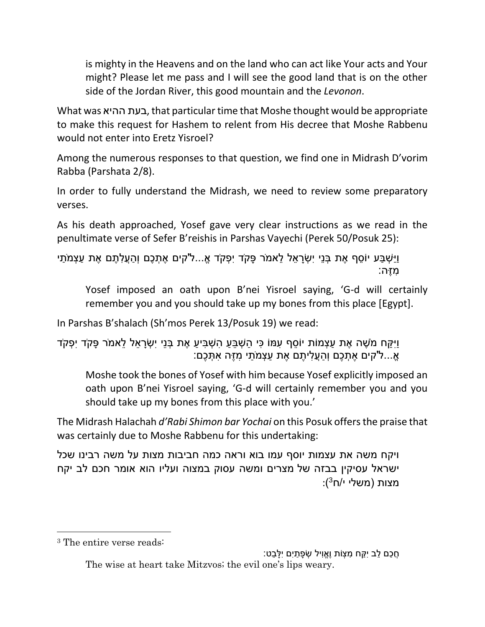is mighty in the Heavens and on the land who can act like Your acts and Your might? Please let me pass and I will see the good land that is on the other side of the Jordan River, this good mountain and the *Levonon*.

What was ההיא בעת, that particular time that Moshe thought would be appropriate to make this request for Hashem to relent from His decree that Moshe Rabbenu would not enter into Eretz Yisroel?

Among the numerous responses to that question, we find one in Midrash D'vorim Rabba (Parshata 2/8).

In order to fully understand the Midrash, we need to review some preparatory verses.

As his death approached, Yosef gave very clear instructions as we read in the penultimate verse of Sefer B'reishis in Parshas Vayechi (Perek 50/Posuk 25):

ַוַיַּשְׁבַּע יוֹסֵף אֶת בְּנֵי יִשְׂרַאֵל לֵאמֹר פָּקֹד יִפְקֹד אֱ...ל'קים אֶתְכֶם וְהַעֱלְתֶם אֶת עַצְמֹתַי ִּמֶזה:

Yosef imposed an oath upon B'nei Yisroel saying, 'G-d will certainly remember you and you should take up my bones from this place [Egypt].

In Parshas B'shalach (Sh'mos Perek 13/Posuk 19) we read:

ֿוִיּקּח מֹשֶׁה אֶת עצָמוֹת יוֹסף עִמּוֹ כּי השָׁבּע הַשָּׁבִּיע אֶת בְּנֵי יִשְׂראל לאמֹר פּקֹד יִפְקֹד ֹאֵ...ל'קים אֶתְכֶם וְהַעֲלִיתֶם אֶת עַצְמֹתַי מְזֶה אִתְּכֶם:

Moshe took the bones of Yosef with him because Yosef explicitly imposed an oath upon B'nei Yisroel saying, 'G-d will certainly remember you and you should take up my bones from this place with you.'

The Midrash Halachah *d'Rabi Shimon bar Yochai* on this Posuk offers the praise that was certainly due to Moshe Rabbenu for this undertaking:

ויקח משה את עצמות יוסף עמו בוא וראה כמה חביבות מצות על משה רבינו שכל ישראל עסיקין בבזה של מצרים ומשה עסוק במצוה ועליו הוא אומר חכם לב יקח :מצות (משלי י/ח<sup>3</sup>)

 $\overline{\phantom{a}}$ 

ָחֲכם לב יִקּח מִצָּוֹת וֶאֵוִיל שְׂפַתִּים יִלְּבט: The wise at heart take Mitzvos; the evil one's lips weary.

<sup>3</sup> The entire verse reads: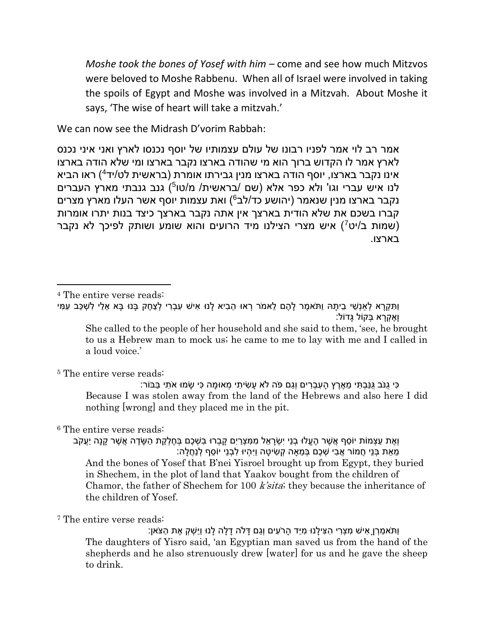*Moshe took the bones of Yosef with him –* come and see how much Mitzvos were beloved to Moshe Rabbenu. When all of Israel were involved in taking the spoils of Egypt and Moshe was involved in a Mitzvah. About Moshe it says, 'The wise of heart will take a mitzvah.'

We can now see the Midrash D'vorim Rabbah:

אמר רב לוי אמר לפניו רבונו של עולם עצמותיו של יוסף נכנסו לארץ ואני איני נכנס לארץ אמר לו הקדוש ברוך הוא מי שהודה בארצו נקבר בארצו ומי שלא הודה בארצו אינו נקבר בארצו, יוסף הודה בארצו מנין גבירתו אומרת (בראשית לט/יד<sup>4</sup>) ראו הביא לנו איש עברי וגו' ולא כפר אלא (שם /בראשית/ מ/טו<sup>5</sup>) גנב גנבתי מארץ העברים נקבר בארצו מנין שנאמר (יהושע כד/לב<sup>6</sup>) ואת עצמות יוסף אשר העלו מארץ מצרים קברו בשכם את שלא הודית בארצך אין אתה נקבר בארצך כיצד בנות יתרו אומרות (שמות ב/יט<sup>7</sup>) איש מצרי הצילנו מיד הרועים והוא שומע ושותק לפיכך לא נקבר בארצו.

<sup>4</sup> The entire verse reads:

 $\overline{\phantom{a}}$ 

וַתְּקְרָא לְאַנְשֵׁי בֵיתָהּ וַתֹּאמֶר לָהֶם לֵאמֹר רְאוּ הֵבִיא לָנוּ אִישׁ עִבְרִי לְצַחֶק בָּנוּ בָּא אֵלַי לְשִׁכַּב עִמִּי וָאֶקְ רָ א בְקֹול גָדֹול:

She called to the people of her household and she said to them, 'see, he brought to us a Hebrew man to mock us; he came to me to lay with me and I called in a loud voice.'

<sup>5</sup> The entire verse reads:

ַּכִּי גִנֹּב גַּנַּבְתּי מַאֶרץ העברים וְגם פֹּה לֹא עשׂיתי מַאוּמה כּי שׂמוּ אֹתי בּבּוֹר: Because I was stolen away from the land of the Hebrews and also here I did nothing [wrong] and they placed me in the pit.

<sup>6</sup> The entire verse reads:

ואת עצמוֹת יוֹסף אשׁר העלו ִבנִי יִשׂראל ממצרים קברוּ בשׁכם בַּחלקת הַשׂדה אשׁר קנה יעקֹב ָמֵאֶת בְּנֵי חֲמוֹר אֲבִי שִׁכֶּם בְּמֵאַה קִשִּׂיטָה וַיִּהִיוּ לְבְנֵי יוֹסֵף לְנַחֲלָה: And the bones of Yosef that B'nei Yisroel brought up from Egypt, they buried in Shechem, in the plot of land that Yaakov bought from the children of Chamor, the father of Shechem for 100 k'sita; they because the inheritance of the children of Yosef.

<sup>7</sup> The entire verse reads:

וַתֹּא ַמ ְרןָ ִּאיׁש ִּמ ְצ ִּרי ִּה ִּצי ָלנו ִּמיַד ָהרֹּ ִּעים וְ ַגם ָּדֹלה ָד ָלה ָלנו וַיַ ְׁש ְק ֶאת ַהצֹּאן: The daughters of Yisro said, 'an Egyptian man saved us from the hand of the shepherds and he also strenuously drew [water] for us and he gave the sheep to drink.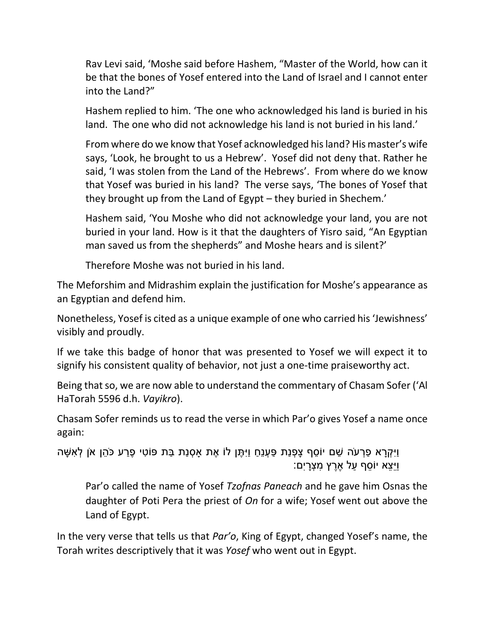Rav Levi said, 'Moshe said before Hashem, "Master of the World, how can it be that the bones of Yosef entered into the Land of Israel and I cannot enter into the Land?"

Hashem replied to him. 'The one who acknowledged his land is buried in his land. The one who did not acknowledge his land is not buried in his land.'

From where do we know that Yosef acknowledged his land? His master's wife says, 'Look, he brought to us a Hebrew'. Yosef did not deny that. Rather he said, 'I was stolen from the Land of the Hebrews'. From where do we know that Yosef was buried in his land? The verse says, 'The bones of Yosef that they brought up from the Land of Egypt – they buried in Shechem.'

Hashem said, 'You Moshe who did not acknowledge your land, you are not buried in your land. How is it that the daughters of Yisro said, "An Egyptian man saved us from the shepherds" and Moshe hears and is silent?'

Therefore Moshe was not buried in his land.

The Meforshim and Midrashim explain the justification for Moshe's appearance as an Egyptian and defend him.

Nonetheless, Yosef is cited as a unique example of one who carried his 'Jewishness' visibly and proudly.

If we take this badge of honor that was presented to Yosef we will expect it to signify his consistent quality of behavior, not just a one-time praiseworthy act.

Being that so, we are now able to understand the commentary of Chasam Sofer ('Al HaTorah 5596 d.h. *Vayikro*).

Chasam Sofer reminds us to read the verse in which Par'o gives Yosef a name once again:

וַיִּקְרָא פַרְעֹה שֵׁם יוֹסֵף צָפְנַת פַּעְנֵחַ וַיִּתֶּן לֹוֹ אֶת אַסְנַת בַּת פּוֹטִי פֶרַע כֹּהֶן אֹן לְאִשָּׁה וַיֵ ֵצא יֹו ֵסף ַעל ֶאֶרץ ִּמ ְצָריִּם:

Par'o called the name of Yosef *Tzofnas Paneach* and he gave him Osnas the daughter of Poti Pera the priest of *On* for a wife; Yosef went out above the Land of Egypt.

In the very verse that tells us that *Par'o*, King of Egypt, changed Yosef's name, the Torah writes descriptively that it was *Yosef* who went out in Egypt.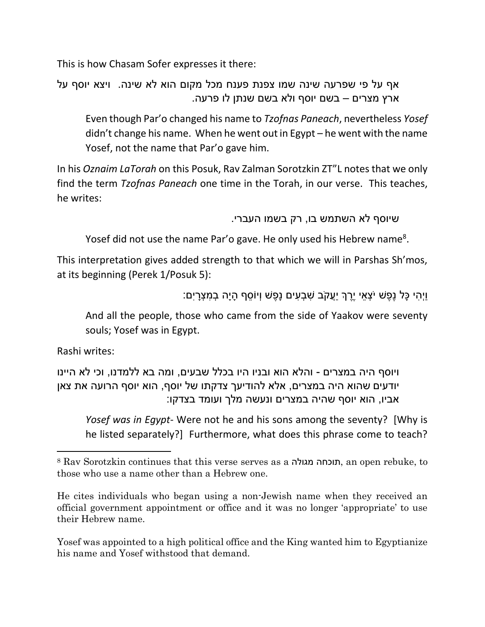This is how Chasam Sofer expresses it there:

אף על פי שפרעה שינה שמו צפנת פענח מכל מקום הוא לא שינה. ויצא יוסף על ארץ מצרים – בשם יוסף ולא בשם שנתן לו פרעה.

Even though Par'o changed his name to *Tzofnas Paneach*, nevertheless *Yosef* didn't change his name. When he went out in Egypt – he went with the name Yosef, not the name that Par'o gave him.

In his *Oznaim LaTorah* on this Posuk, Rav Zalman Sorotzkin ZT"L notes that we only find the term *Tzofnas Paneach* one time in the Torah, in our verse. This teaches, he writes:

שיוסף לא השתמש בו, רק בשמו העברי.

Yosef did not use the name Par'o gave. He only used his Hebrew name<sup>8</sup>.

This interpretation gives added strength to that which we will in Parshas Sh'mos, at its beginning (Perek 1/Posuk 5):

```
ֿוַיְהִי כַּל נֵפֵשׁ יֹּצְאֵי יֵרֶךְ יַעֲקֹב שְׁבָעִים נַפֵּשׁ וְיוֹסֵף הַיַה בְמִצְרַיִם:
```
And all the people, those who came from the side of Yaakov were seventy souls; Yosef was in Egypt.

Rashi writes:

 $\overline{\phantom{a}}$ 

ויוסף היה במצרים - והלא הוא ובניו היו בכלל שבעים, ומה בא ללמדנו, וכי לא היינו יודעים שהוא היה במצרים, אלא להודיעך צדקתו של יוסף, הוא יוסף הרועה את צאן אביו, הוא יוסף שהיה במצרים ונעשה מלך ועומד בצדקו:

*Yosef was in Egypt*- Were not he and his sons among the seventy? [Why is he listed separately?] Furthermore, what does this phrase come to teach?

Yosef was appointed to a high political office and the King wanted him to Egyptianize his name and Yosef withstood that demand.

<sup>8</sup> Rav Sorotzkin continues that this verse serves as a מגולה תוכחה, an open rebuke, to those who use a name other than a Hebrew one.

He cites individuals who began using a non-Jewish name when they received an official government appointment or office and it was no longer 'appropriate' to use their Hebrew name.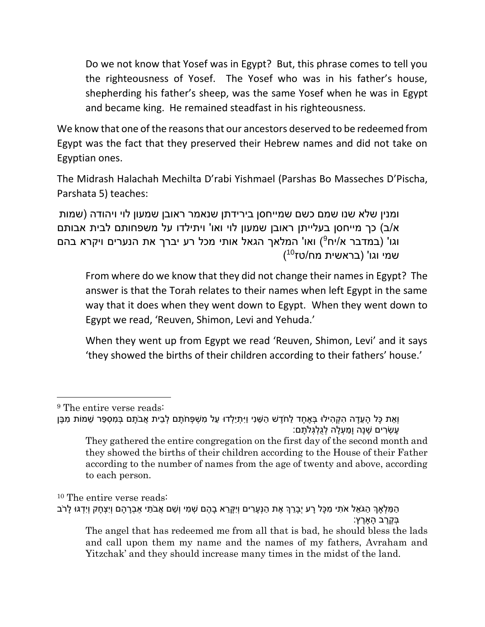Do we not know that Yosef was in Egypt? But, this phrase comes to tell you the righteousness of Yosef. The Yosef who was in his father's house, shepherding his father's sheep, was the same Yosef when he was in Egypt and became king. He remained steadfast in his righteousness.

We know that one of the reasons that our ancestors deserved to be redeemed from Egypt was the fact that they preserved their Hebrew names and did not take on Egyptian ones.

The Midrash Halachah Mechilta D'rabi Yishmael (Parshas Bo Masseches D'Pischa, Parshata 5) teaches:

ומנין שלא שנו שמם כשם שמייחסן בירידתן שנאמר ראובן שמעון לוי ויהודה )שמות א/ב) כך מייחסן בעלייתן ראובן שמעון לוי ואו' ויתילדו על משפחותם לבית אבותם וגו' (במדבר א/יח<sup>9</sup>) ואו' המלאך הגאל אותי מכל רע יברך את הנערים ויקרא בהם (10טן 10טן (בראשית מח/טז

From where do we know that they did not change their names in Egypt? The answer is that the Torah relates to their names when left Egypt in the same way that it does when they went down to Egypt. When they went down to Egypt we read, 'Reuven, Shimon, Levi and Yehuda.'

When they went up from Egypt we read 'Reuven, Shimon, Levi' and it says 'they showed the births of their children according to their fathers' house.'

 $\overline{a}$ 

<sup>9</sup> The entire verse reads:

וְאֶת כָּל הַעֲדָה הַקְהִילוּ בָּאֶחַד לַחֹדֵשׁ הַשָּׁנִי וַיִּתְיַלְדוּ עַל מִשְׁפְּחֹתֵם לְבֵית אֲבֹתַם בְּמְסְפָּר שֶׁמוֹת מְבֵן ַעֲשָׂרים שַׁנַה ומַעַלה לְגִלְגָּלֹתִם: They gathered the entire congregation on the first day of the second month and

they showed the births of their children according to the House of their Father according to the number of names from the age of twenty and above, according to each person.

<sup>10</sup> The entire verse reads: ַהַמַּלְאָךְ הַגֹּאֵל אֹתִי מִכָּל רָע יְבָרֵךְ אֶת הַנְּעָרִים וְיִקְרֵא בָהֶם שְׁמִי וְשֵׁם אֲבֹתַי אַבְרָהָם וְיִצְחָק וְיִדְגּוּ לָרֹב ַ בְּקֶרֶב הָארֶץ: The angel that has redeemed me from all that is bad, he should bless the lads

and call upon them my name and the names of my fathers, Avraham and Yitzchak' and they should increase many times in the midst of the land.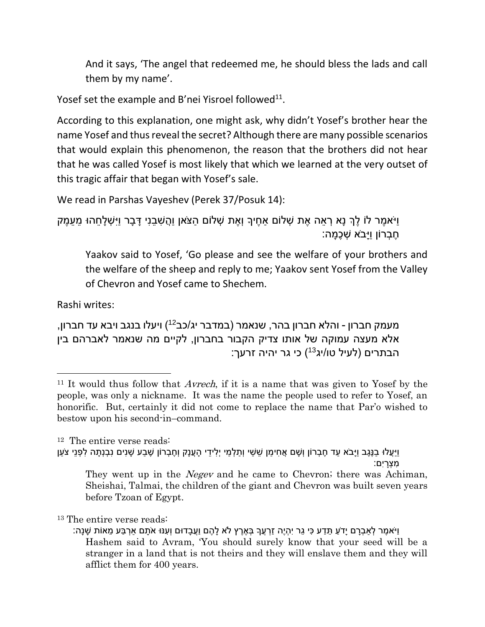And it says, 'The angel that redeemed me, he should bless the lads and call them by my name'.

Yosef set the example and B'nei Yisroel followed $^{11}$ .

According to this explanation, one might ask, why didn't Yosef's brother hear the name Yosef and thus reveal the secret? Although there are many possible scenarios that would explain this phenomenon, the reason that the brothers did not hear that he was called Yosef is most likely that which we learned at the very outset of this tragic affair that began with Yosef's sale.

We read in Parshas Vayeshev (Perek 37/Posuk 14):

וַיֹּא ֶמר לֹו ֶלְך נָא ְר ֵאה ֶאת ְׁשלֹום ַא ֶחיָך וְ ֶאת ְׁשלֹום ַהצֹּאן וֲַה ִּׁש ֵבנִּי ָּד ָבר וַיִּ ְׁש ָל ֵחהו ֵמ ֵע ֶמק ֶח ְברֹון וַיָבֹּא ְׁש ֶכ ָמה:

Yaakov said to Yosef, 'Go please and see the welfare of your brothers and the welfare of the sheep and reply to me; Yaakov sent Yosef from the Valley of Chevron and Yosef came to Shechem.

Rashi writes:

 $\overline{\phantom{a}}$ 

מעמק חברון - והלא חברון בהר, שנאמר (במדבר יג/כב<sup>12</sup>) ויעלו בנגב ויבא עד חברון, אלא מעצה עמוקה של אותו צדיק הקבור בחברון, לקיים מה שנאמר לאברהם בין הבתרים (לעיל טו/יג<sup>13</sup>) כי גר יהיה זרעך:

<sup>12</sup> The entire verse reads:

וַיָּעֲלוּ בַנֶּגֶב וַיָּבֹא עַד חֶבְרוֹן וְשָׁם אֲחִימַן שֵׁשַׁי וְתַלְמַי יְלִידֵי הָעֲנָק וְחֶבְרוֹן שֶׁבַע שָׁנִים נִבְנְתָה לִפְנֵי צֹעַן ָמצרים:

<sup>&</sup>lt;sup>11</sup> It would thus follow that *Avrech*, if it is a name that was given to Yosef by the people, was only a nickname. It was the name the people used to refer to Yosef, an honorific. But, certainly it did not come to replace the name that Par'o wished to bestow upon his second-in–command.

They went up in the *Negev* and he came to Chevron; there was Achiman, Sheishai, Talmai, the children of the giant and Chevron was built seven years before Tzoan of Egypt.

<sup>13</sup> The entire verse reads:

<sup>ַ</sup>יִּיֹּאמֶר לְאַבְרָם יָדֹעַ תֵּדַע כִּי גֵר יִהְיֶה זַרְעֲךָ בְּאֶרֶץ לֹא לָהֶם וַעֲבָדוּם וְעִנּוּ אֹתָם אַרְבַּע מֵאוֹת שָׁנָה: Hashem said to Avram, 'You should surely know that your seed will be a stranger in a land that is not theirs and they will enslave them and they will afflict them for 400 years.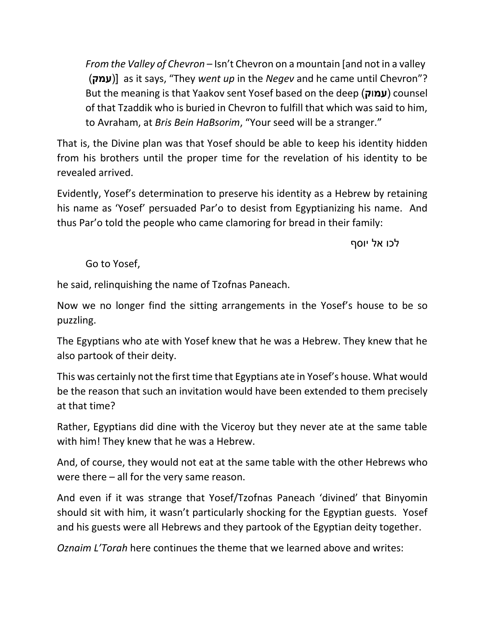*From the Valley of Chevron* – Isn't Chevron on a mountain [and not in a valley )**עמק** ])as it says, "They *went up* in the *Negev* and he came until Chevron"? But the meaning is that Yaakov sent Yosef based on the deep )**עמ**ו**ק** )counsel of that Tzaddik who is buried in Chevron to fulfill that which was said to him, to Avraham, at *Bris Bein HaBsorim*, "Your seed will be a stranger."

That is, the Divine plan was that Yosef should be able to keep his identity hidden from his brothers until the proper time for the revelation of his identity to be revealed arrived.

Evidently, Yosef's determination to preserve his identity as a Hebrew by retaining his name as 'Yosef' persuaded Par'o to desist from Egyptianizing his name. And thus Par'o told the people who came clamoring for bread in their family:

לכו אל יוסף

Go to Yosef,

he said, relinquishing the name of Tzofnas Paneach.

Now we no longer find the sitting arrangements in the Yosef's house to be so puzzling.

The Egyptians who ate with Yosef knew that he was a Hebrew. They knew that he also partook of their deity.

This was certainly not the first time that Egyptians ate in Yosef's house. What would be the reason that such an invitation would have been extended to them precisely at that time?

Rather, Egyptians did dine with the Viceroy but they never ate at the same table with him! They knew that he was a Hebrew.

And, of course, they would not eat at the same table with the other Hebrews who were there – all for the very same reason.

And even if it was strange that Yosef/Tzofnas Paneach 'divined' that Binyomin should sit with him, it wasn't particularly shocking for the Egyptian guests. Yosef and his guests were all Hebrews and they partook of the Egyptian deity together.

*Oznaim L'Torah* here continues the theme that we learned above and writes: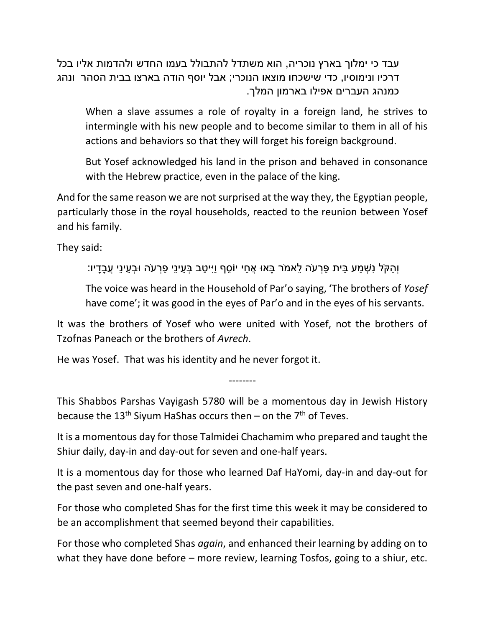עבד כי ימלוך בארץ נוכריה, הוא משתדל להתבולל בעמו החדש ולהדמות אליו בכל דרכיו ונימוסיו, כדי שישכחו מוצאו הנוכרי; אבל יוסף הודה בארצו בבית הסהר ונהג כמנהג העברים אפילו בארמון המלך.

When a slave assumes a role of royalty in a foreign land, he strives to intermingle with his new people and to become similar to them in all of his actions and behaviors so that they will forget his foreign background.

But Yosef acknowledged his land in the prison and behaved in consonance with the Hebrew practice, even in the palace of the king.

And for the same reason we are not surprised at the way they, the Egyptian people, particularly those in the royal households, reacted to the reunion between Yosef and his family.

They said:

וְ ַהקֹּל נִּ ְׁש ַמע ֵבית ַפ ְרעֹּה ֵלאמֹּר ָבאו ֲא ֵחי יֹו ֵסף וַיִּי ַטב ְב ֵעינֵי ַפ ְרעֹּה ו ְב ֵעינֵי ֲע ָבָדיו:

The voice was heard in the Household of Par'o saying, 'The brothers of *Yosef* have come'; it was good in the eyes of Par'o and in the eyes of his servants.

It was the brothers of Yosef who were united with Yosef, not the brothers of Tzofnas Paneach or the brothers of *Avrech*.

He was Yosef. That was his identity and he never forgot it.

This Shabbos Parshas Vayigash 5780 will be a momentous day in Jewish History because the 13<sup>th</sup> Siyum HaShas occurs then – on the 7<sup>th</sup> of Teves.

--------

It is a momentous day for those Talmidei Chachamim who prepared and taught the Shiur daily, day-in and day-out for seven and one-half years.

It is a momentous day for those who learned Daf HaYomi, day-in and day-out for the past seven and one-half years.

For those who completed Shas for the first time this week it may be considered to be an accomplishment that seemed beyond their capabilities.

For those who completed Shas *again*, and enhanced their learning by adding on to what they have done before – more review, learning Tosfos, going to a shiur, etc.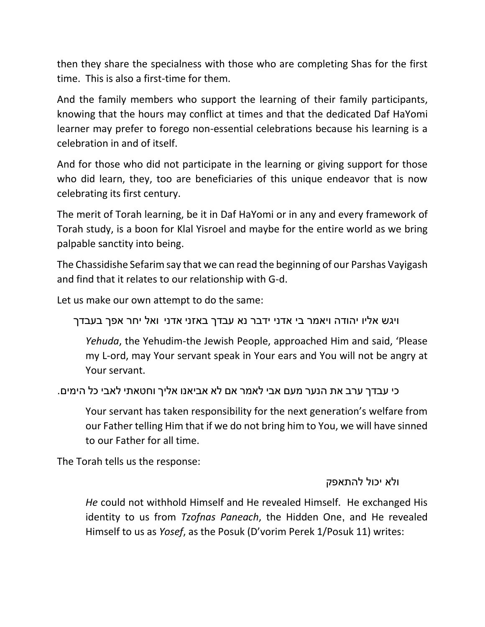then they share the specialness with those who are completing Shas for the first time. This is also a first-time for them.

And the family members who support the learning of their family participants, knowing that the hours may conflict at times and that the dedicated Daf HaYomi learner may prefer to forego non-essential celebrations because his learning is a celebration in and of itself.

And for those who did not participate in the learning or giving support for those who did learn, they, too are beneficiaries of this unique endeavor that is now celebrating its first century.

The merit of Torah learning, be it in Daf HaYomi or in any and every framework of Torah study, is a boon for Klal Yisroel and maybe for the entire world as we bring palpable sanctity into being.

The Chassidishe Sefarim say that we can read the beginning of our Parshas Vayigash and find that it relates to our relationship with G-d.

Let us make our own attempt to do the same:

ויגש אליו יהודה ויאמר בי אדני ידבר נא עבדך באזני אדני ואל יחר אפך בעבדך

*Yehuda*, the Yehudim-the Jewish People, approached Him and said, 'Please my L-ord, may Your servant speak in Your ears and You will not be angry at Your servant.

כי עבדך ערב את הנער מעם אבי לאמר אם לא אביאנו אליך וחטאתי לאבי כל הימים.

Your servant has taken responsibility for the next generation's welfare from our Father telling Him that if we do not bring him to You, we will have sinned to our Father for all time.

The Torah tells us the response:

## ולא יכול להתאפק

*He* could not withhold Himself and He revealed Himself. He exchanged His identity to us from *Tzofnas Paneach*, the Hidden One, and He revealed Himself to us as *Yosef*, as the Posuk (D'vorim Perek 1/Posuk 11) writes: